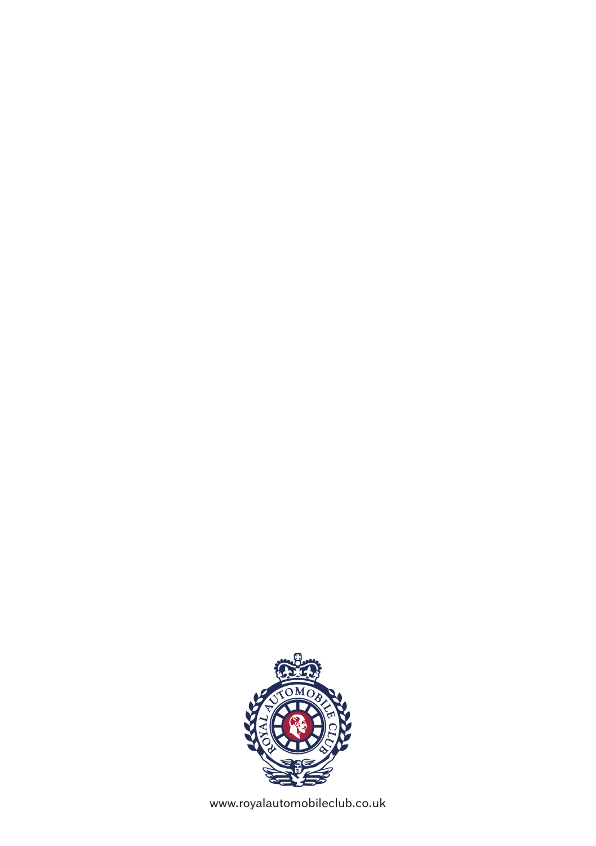

www.royalautomobileclub.co.uk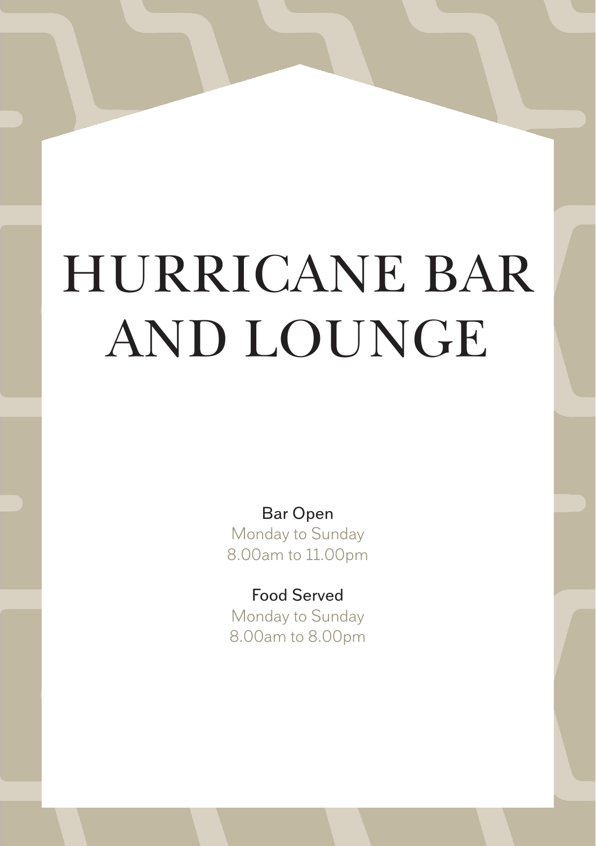# HURRICANE BAR AND LOUNGE

Bar Open Monday to Sunday 8.00am to 11.00pm

Food Served Monday to Sunday 8.00am to 8.00pm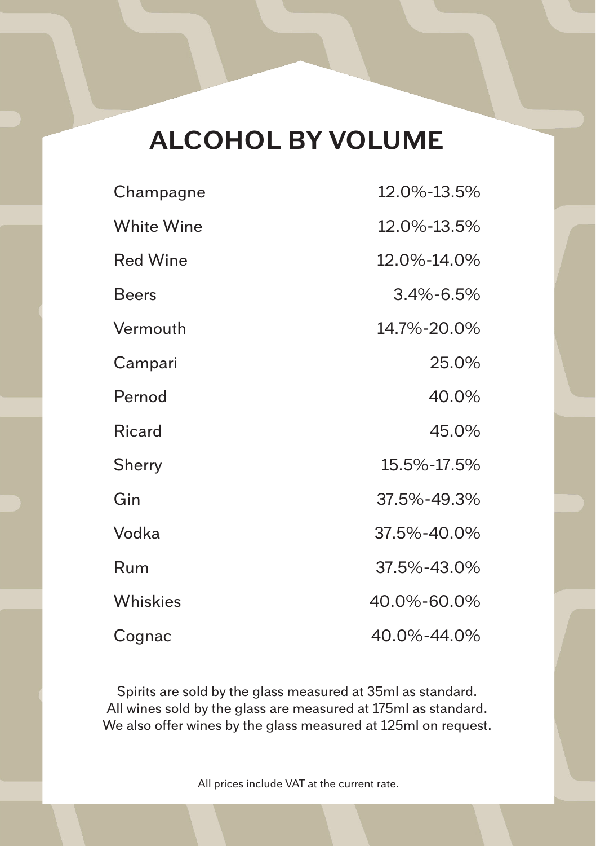# **ALCOHOL BY VOLUME**

| Champagne       | 12.0%-13.5%     |
|-----------------|-----------------|
| White Wine      | 12.0%-13.5%     |
| <b>Red Wine</b> | 12.0%-14.0%     |
| <b>Beers</b>    | $3.4\% - 6.5\%$ |
| Vermouth        | 14.7%-20.0%     |
| Campari         | 25.0%           |
| Pernod          | 40.0%           |
| Ricard          | 45.0%           |
| Sherry          | 15.5%-17.5%     |
| Gin             | 37.5%-49.3%     |
| Vodka           | 37.5%-40.0%     |
| Rum             | 37.5%-43.0%     |
| Whiskies        | 40.0%-60.0%     |
| Cognac          | 40.0%-44.0%     |

Spirits are sold by the glass measured at 35ml as standard. All wines sold by the glass are measured at 175ml as standard. We also offer wines by the glass measured at 125ml on request.

All prices include VAT at the current rate.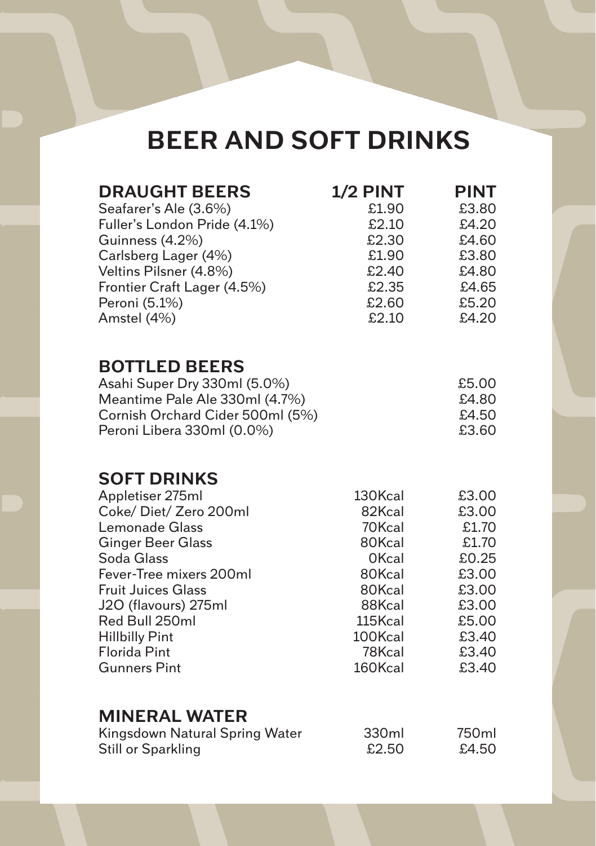# **BEER AND SOFT DRINKS**

| <b>DRAUGHT BEERS</b><br>Seafarer's Ale (3.6%)<br>Fuller's London Pride (4.1%)<br>Guinness (4.2%)<br>Carlsberg Lager (4%)<br>Veltins Pilsner (4.8%)<br>Frontier Craft Lager (4.5%)<br>Peroni (5.1%)<br>Amstel (4%)                                                                                   | 1/2 PINT<br>£1.90<br>£2.10<br>£2.30<br>£1.90<br>£2.40<br>£2.35<br>£2.60<br>£2.10                                        | <b>PINT</b><br>£3.80<br>£4.20<br>£4.60<br>£3.80<br>£4.80<br>£4.65<br>£5.20<br>£4.20                      |
|-----------------------------------------------------------------------------------------------------------------------------------------------------------------------------------------------------------------------------------------------------------------------------------------------------|-------------------------------------------------------------------------------------------------------------------------|----------------------------------------------------------------------------------------------------------|
| <b>BOTTLED BEERS</b><br>Asahi Super Dry 330ml (5.0%)<br>Meantime Pale Ale 330ml (4.7%)<br>Cornish Orchard Cider 500ml (5%)<br>Peroni Libera 330ml (0.0%)                                                                                                                                            |                                                                                                                         | £5.00<br>£4.80<br>£4.50<br>£3.60                                                                         |
| <b>SOFT DRINKS</b><br>Appletiser 275ml<br>Coke/Diet/Zero 200ml<br>Lemonade Glass<br><b>Ginger Beer Glass</b><br>Soda Glass<br>Fever-Tree mixers 200ml<br><b>Fruit Juices Glass</b><br>J2O (flavours) 275ml<br>Red Bull 250ml<br><b>Hillbilly Pint</b><br><b>Florida Pint</b><br><b>Gunners Pint</b> | 130Kcal<br>82Kcal<br>70Kcal<br>80Kcal<br>0Kcal<br>80Kcal<br>80Kcal<br>88Kcal<br>115Kcal<br>100Kcal<br>78Kcal<br>160Kcal | £3.00<br>£3.00<br>£1.70<br>£1.70<br>£0.25<br>£3.00<br>£3.00<br>£3.00<br>£5.00<br>£3.40<br>£3.40<br>£3.40 |
| <b>MINERAL WATER</b><br>Kingsdown Natural Spring Water<br><b>Still or Sparkling</b>                                                                                                                                                                                                                 | 330ml<br>£2.50                                                                                                          | 750ml<br>£4.50                                                                                           |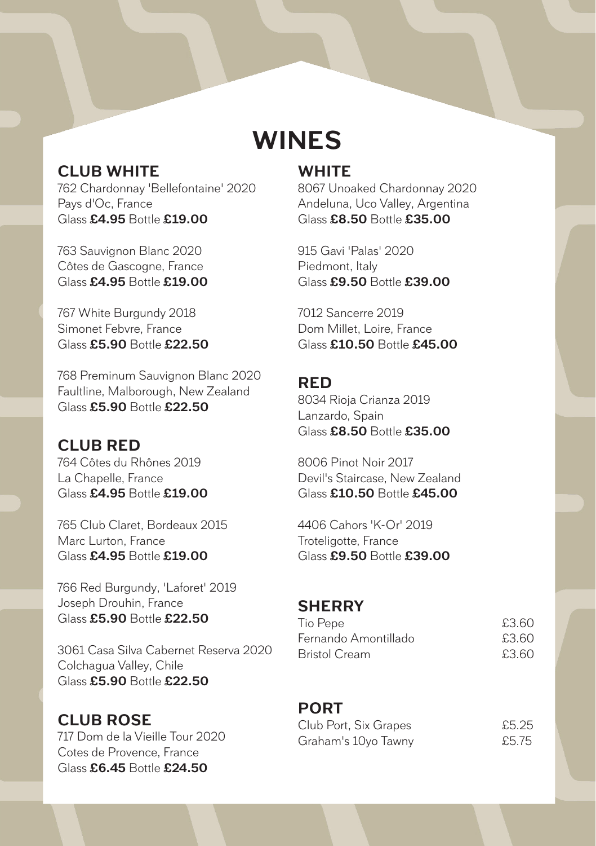### **CLUB WHITE**

762 Chardonnay 'Bellefontaine' 2020 Pays d'Oc, France Glass **£4.95** Bottle **£19.00**

763 Sauvignon Blanc 2020 Côtes de Gascogne, France Glass **£4.95** Bottle **£19.00**

767 White Burgundy 2018 Simonet Febvre, France Glass **£5.90** Bottle **£22.50**

768 Preminum Sauvignon Blanc 2020 Faultline, Malborough, New Zealand Glass **£5.90** Bottle **£22.50**

#### **CLUB RED**

764 Côtes du Rhônes 2019 La Chapelle, France Glass **£4.95** Bottle **£19.00**

765 Club Claret, Bordeaux 2015 Marc Lurton, France Glass **£4.95** Bottle **£19.00**

766 Red Burgundy, 'Laforet' 2019 Joseph Drouhin, France Glass **£5.90** Bottle **£22.50**

3061 Casa Silva Cabernet Reserva 2020 Colchagua Valley, Chile Glass **£5.90** Bottle **£22.50**

#### **CLUB ROSE**

717 Dom de la Vieille Tour 2020 Cotes de Provence, France Glass **£6.45** Bottle **£24.50**

# **WINES**

**WHITE**

8067 Unoaked Chardonnay 2020 Andeluna, Uco Valley, Argentina Glass **£8.50** Bottle **£35.00**

915 Gavi 'Palas' 2020 Piedmont, Italy Glass **£9.50** Bottle **£39.00**

7012 Sancerre 2019 Dom Millet, Loire, France Glass **£10.50** Bottle **£45.00**

#### **RED**

8034 Rioja Crianza 2019 Lanzardo, Spain Glass **£8.50** Bottle **£35.00**

8006 Pinot Noir 2017 Devil's Staircase, New Zealand Glass **£10.50** Bottle **£45.00**

4406 Cahors 'K-Or' 2019 Troteligotte, France Glass **£9.50** Bottle **£39.00**

#### **SHERRY**

| Tio Pepe             | £3.60 |
|----------------------|-------|
| Fernando Amontillado | £3.60 |
| <b>Bristol Cream</b> | £3.60 |

#### **PORT**

| Club Port, Six Grapes | £5.25 |
|-----------------------|-------|
| Graham's 10yo Tawny   | £5.75 |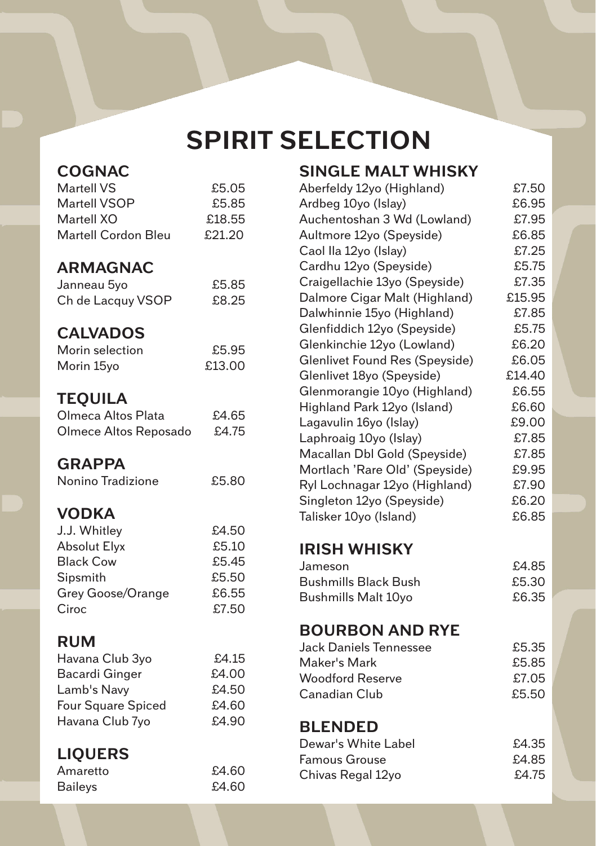# **SPIRIT SELECTION**

| <b>COGNAC</b><br>Martell VS<br>Martell VSOP<br>Martell XO<br>Martell Cordon Bleu                                  | £5.05<br>£5.85<br>£18.55<br>£21.20                 |  |
|-------------------------------------------------------------------------------------------------------------------|----------------------------------------------------|--|
| <b>ARMAGNAC</b><br>Janneau 5yo<br>Ch de Lacquy VSOP                                                               | £5.85<br>£8.25                                     |  |
| <b>CALVADOS</b><br>Morin selection<br>Morin 15yo                                                                  | £5.95<br>£13.00                                    |  |
| <b>TEQUILA</b><br>Olmeca Altos Plata<br>Olmece Altos Reposado                                                     | £4.65<br>£4.75                                     |  |
| <b>GRAPPA</b><br>Nonino Tradizione                                                                                | £5.80                                              |  |
| <b>VODKA</b><br>J.J. Whitley<br><b>Absolut Elyx</b><br><b>Black Cow</b><br>Sipsmith<br>Grey Goose/Orange<br>Ciroc | £4.50<br>£5.10<br>£5.45<br>£5.50<br>£6.55<br>£7.50 |  |
| <b>RUM</b><br>Havana Club 3yo<br><b>Bacardi Ginger</b><br>Lamb's Navy<br>Four Square Spiced<br>Havana Club 7yo    | £4.15<br>£4.00<br>£4.50<br>£4.60<br>£4.90          |  |
| <b>LIQUERS</b><br>Amaretto                                                                                        | £4.60                                              |  |

Baileys £4.60

| <b>SINGLE MALT WHISKY</b>      |        |
|--------------------------------|--------|
| Aberfeldy 12yo (Highland)      | £7.50  |
| Ardbeg 10yo (Islay)            | £6.95  |
| Auchentoshan 3 Wd (Lowland)    | £7.95  |
| Aultmore 12yo (Speyside)       | £6.85  |
| Caol Ila 12yo (Islay)          | £7.25  |
| Cardhu 12yo (Speyside)         | £5.75  |
| Craigellachie 13yo (Speyside)  | £7.35  |
| Dalmore Cigar Malt (Highland)  | £15.95 |
| Dalwhinnie 15yo (Highland)     | £7.85  |
| Glenfiddich 12yo (Speyside)    | £5.75  |
| Glenkinchie 12yo (Lowland)     | £6.20  |
| Glenlivet Found Res (Speyside) | £6.05  |
| Glenlivet 18yo (Speyside)      | £14.40 |
| Glenmorangie 10yo (Highland)   | £6.55  |
| Highland Park 12yo (Island)    | £6.60  |
| Lagavulin 16yo (Islay)         | £9.00  |
| Laphroaig 10yo (Islay)         | £7.85  |
| Macallan Dbl Gold (Speyside)   | £7.85  |
| Mortlach 'Rare Old' (Speyside) | £9.95  |
| Ryl Lochnagar 12yo (Highland)  | £7.90  |
| Singleton 12yo (Speyside)      | £6.20  |
| Talisker 10yo (Island)         | £6.85  |
| <b>IRISH WHISKY</b>            |        |
| Jameson                        | £4.85  |
| <b>Bushmills Black Bush</b>    | £5.30  |
| <b>Bushmills Malt 10yo</b>     | £6.35  |
| <b>BOURBON AND RYE</b>         |        |
| Jack Daniels Tennessee         | £5.35  |
| Maker's Mark                   | £5.85  |
| <b>Woodford Reserve</b>        | £7.05  |
| Canadian Club                  | £5.50  |
|                                |        |

# **BLENDED**

| Dewar's White Label | £4.35 |
|---------------------|-------|
| Famous Grouse       | £4.85 |
| Chivas Regal 12yo   | £4.75 |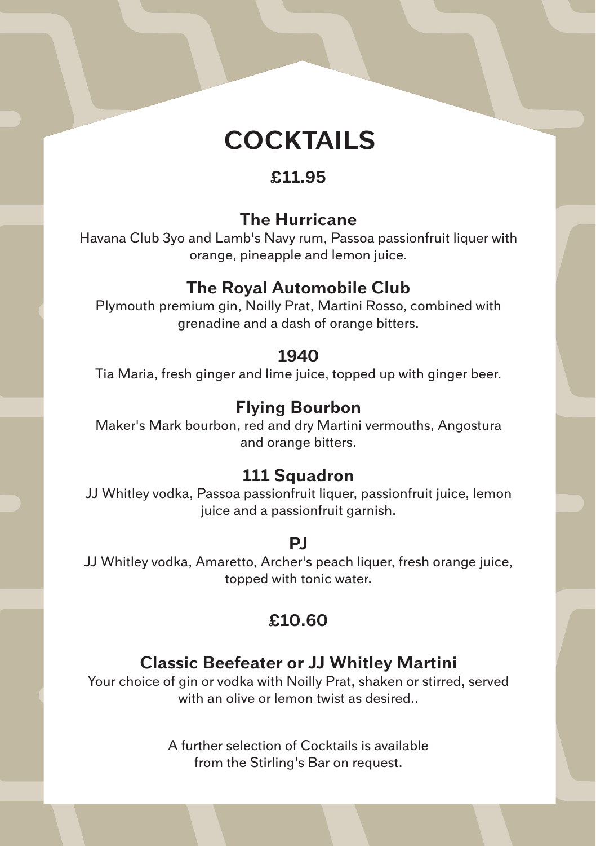

### **£11.95**

#### **The Hurricane**

Havana Club 3yo and Lamb's Navy rum, Passoa passionfruit liquer with orange, pineapple and lemon juice.

### **The Royal Automobile Club**

Plymouth premium gin, Noilly Prat, Martini Rosso, combined with grenadine and a dash of orange bitters.

#### **1940**

Tia Maria, fresh ginger and lime juice, topped up with ginger beer.

### **Flying Bourbon**

Maker's Mark bourbon, red and dry Martini vermouths, Angostura and orange bitters.

### **111 Squadron**

JJ Whitley vodka, Passoa passionfruit liquer, passionfruit juice, lemon juice and a passionfruit garnish.

#### **PJ**

JJ Whitley vodka, Amaretto, Archer's peach liquer, fresh orange juice, topped with tonic water.

### **£10.60**

### **Classic Beefeater or JJ Whitley Martini**

Your choice of gin or vodka with Noilly Prat, shaken or stirred, served with an olive or lemon twist as desired.

> A further selection of Cocktails is available from the Stirling's Bar on request.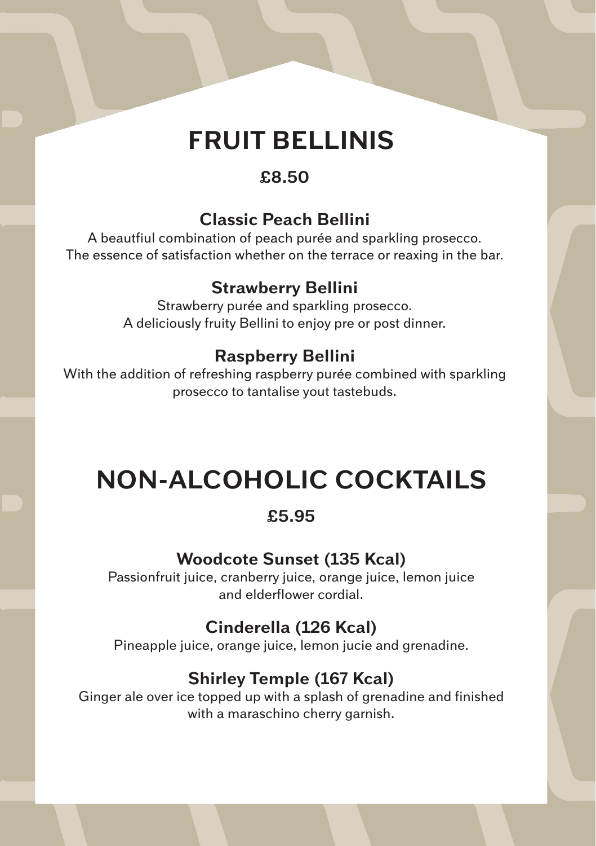# **FRUIT BELLINIS**

### **£8.50**

## **Classic Peach Bellini**

A beautfiul combination of peach purée and sparkling prosecco. The essence of satisfaction whether on the terrace or reaxing in the bar.

### **Strawberry Bellini**

Strawberry purée and sparkling prosecco. A deliciously fruity Bellini to enjoy pre or post dinner.

### **Raspberry Bellini**

With the addition of refreshing raspberry purée combined with sparkling prosecco to tantalise yout tastebuds.

# **NON-ALCOHOLIC COCKTAILS**

### **£5.95**

# **Woodcote Sunset (135 Kcal)**

Passionfruit juice, cranberry juice, orange juice, lemon juice and elderflower cordial.

# **Cinderella (126 Kcal)**

Pineapple juice, orange juice, lemon jucie and grenadine.

# **Shirley Temple (167 Kcal)**

Ginger ale over ice topped up with a splash of grenadine and finished with a maraschino cherry garnish.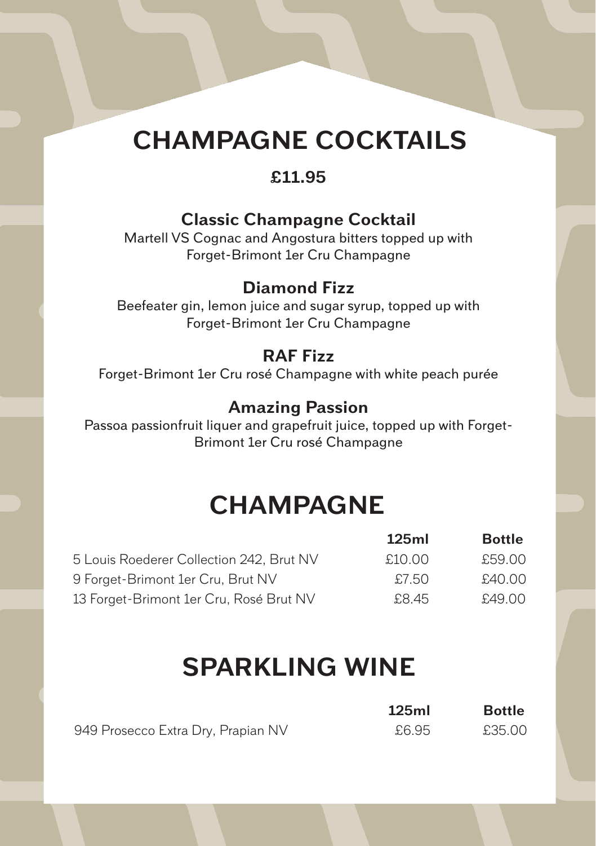# **CHAMPAGNE COCKTAILS**

### **£11.95**

### **Classic Champagne Cocktail**

Martell VS Cognac and Angostura bitters topped up with Forget-Brimont 1er Cru Champagne

### **Diamond Fizz**

Beefeater gin, lemon juice and sugar syrup, topped up with Forget-Brimont 1er Cru Champagne

#### **RAF Fizz**

Forget-Brimont 1er Cru rosé Champagne with white peach purée

#### **Amazing Passion**

Passoa passionfruit liquer and grapefruit juice, topped up with Forget-Brimont 1er Cru rosé Champagne

# **CHAMPAGNE**

|                                          | 125ml  | <b>Bottle</b> |
|------------------------------------------|--------|---------------|
| 5 Louis Roederer Collection 242, Brut NV | £10.00 | £59.00        |
| 9 Forget-Brimont 1er Cru, Brut NV        | £7.50  | £40.00        |
| 13 Forget-Brimont 1er Cru, Rosé Brut NV  | £8.45  | £49.00        |

# **SPARKLING WINE**

|                                    | 125ml | <b>Bottle</b> |
|------------------------------------|-------|---------------|
| 949 Prosecco Extra Dry, Prapian NV | £6.95 | £35.00        |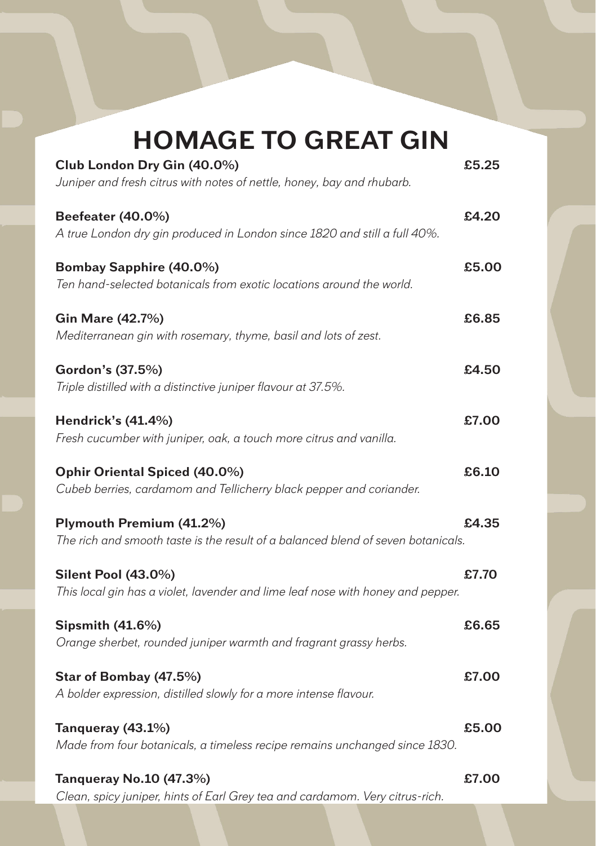| <b>HOMAGE TO GREAT GIN</b>                                                                                    |       |
|---------------------------------------------------------------------------------------------------------------|-------|
| Club London Dry Gin (40.0%)<br>Juniper and fresh citrus with notes of nettle, honey, bay and rhubarb.         | £5.25 |
| Beefeater (40.0%)<br>A true London dry gin produced in London since 1820 and still a full 40%.                | £4.20 |
| <b>Bombay Sapphire (40.0%)</b><br>Ten hand-selected botanicals from exotic locations around the world.        | £5.00 |
| Gin Mare (42.7%)<br>Mediterranean gin with rosemary, thyme, basil and lots of zest.                           | £6.85 |
| Gordon's (37.5%)<br>Triple distilled with a distinctive juniper flavour at 37.5%.                             | £4.50 |
| Hendrick's (41.4%)<br>Fresh cucumber with juniper, oak, a touch more citrus and vanilla.                      | £7.00 |
| Ophir Oriental Spiced (40.0%)<br>Cubeb berries, cardamom and Tellicherry black pepper and coriander.          | £6.10 |
| Plymouth Premium (41.2%)<br>The rich and smooth taste is the result of a balanced blend of seven botanicals.  | £4.35 |
| <b>Silent Pool (43.0%)</b><br>This local gin has a violet, lavender and lime leaf nose with honey and pepper. | £7.70 |
| <b>Sipsmith (41.6%)</b><br>Orange sherbet, rounded juniper warmth and fragrant grassy herbs.                  | £6.65 |
| Star of Bombay (47.5%)<br>A bolder expression, distilled slowly for a more intense flavour.                   | £7.00 |
| Tanqueray (43.1%)<br>Made from four botanicals, a timeless recipe remains unchanged since 1830.               | £5.00 |
| Tanqueray No.10 (47.3%)<br>Clean, spicy juniper, hints of Earl Grey tea and cardamom. Very citrus-rich.       | £7.00 |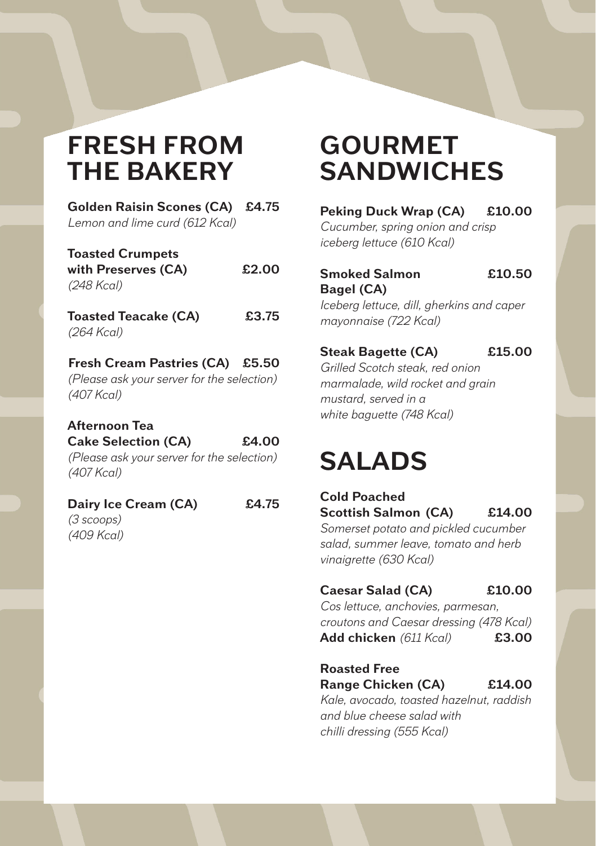# **FRESH FROM THE BAKERY**

**Golden Raisin Scones (CA) £4.75** *Lemon and lime curd (612 Kcal)*

| <b>Toasted Crumpets</b> |       |
|-------------------------|-------|
| with Preserves (CA)     | £2.00 |
| (248 Kcal)              |       |

**Toasted Teacake (CA) £3.75** *(264 Kcal)*

#### **Fresh Cream Pastries (CA) £5.50** *(Please ask your server for the selection) (407 Kcal)*

#### **Afternoon Tea Cake Selection (CA) £4.00**

*(Please ask your server for the selection) (407 Kcal)*

#### **Dairy Ice Cream (CA) £4.75**

*(3 scoops) (409 Kcal)*

# **GOURMET SANDWICHES**

**Peking Duck Wrap (CA) £10.00**

*Cucumber, spring onion and crisp iceberg lettuce (610 Kcal)*

#### **Smoked Salmon £10.50 Bagel (CA)**

*Iceberg lettuce, dill, gherkins and caper mayonnaise (722 Kcal)*

#### **Steak Bagette (CA) £15.00**

*Grilled Scotch steak, red onion marmalade, wild rocket and grain mustard, served in a white baguette (748 Kcal)*

# **SALADS**

#### **Cold Poached Scottish Salmon (CA) £14.00**

*Somerset potato and pickled cucumber salad, summer leave, tomato and herb vinaigrette (630 Kcal)*

#### **Caesar Salad (CA) £10.00**

*Cos lettuce, anchovies, parmesan, croutons and Caesar dressing (478 Kcal)* **Add chicken** *(611 Kcal)* **£3.00**

#### **Roasted Free Range Chicken (CA) £14.00**

*Kale, avocado, toasted hazelnut, raddish and blue cheese salad with chilli dressing (555 Kcal)*